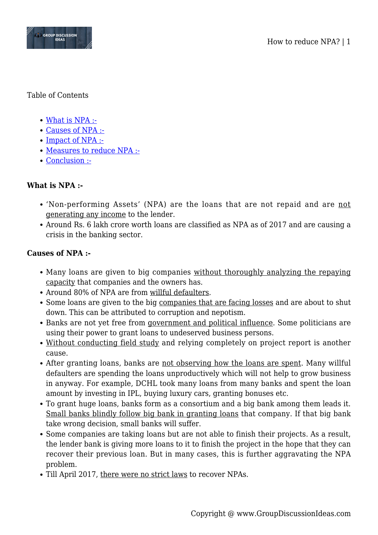

### Table of Contents

- [What is NPA :-](#page--1-0)
- [Causes of NPA :-](#page--1-0)
- [Impact of NPA :-](#page--1-0)
- [Measures to reduce NPA :-](#page--1-0)
- [Conclusion :-](#page--1-0)

# **What is NPA :-**

- 'Non-performing Assets' (NPA) are the loans that are not repaid and are not generating any income to the lender.
- Around Rs. 6 lakh crore worth loans are classified as NPA as of 2017 and are causing a crisis in the banking sector.

## **Causes of NPA :-**

- Many loans are given to big companies without thoroughly analyzing the repaying capacity that companies and the owners has.
- Around 80% of NPA are from willful defaulters.
- Some loans are given to the big companies that are facing losses and are about to shut down. This can be attributed to corruption and nepotism.
- Banks are not yet free from government and political influence. Some politicians are using their power to grant loans to undeserved business persons.
- Without conducting field study and relying completely on project report is another cause.
- After granting loans, banks are not observing how the loans are spent. Many willful defaulters are spending the loans unproductively which will not help to grow business in anyway. For example, DCHL took many loans from many banks and spent the loan amount by investing in IPL, buying luxury cars, granting bonuses etc.
- To grant huge loans, banks form as a consortium and a big bank among them leads it. Small banks blindly follow big bank in granting loans that company. If that big bank take wrong decision, small banks will suffer.
- Some companies are taking loans but are not able to finish their projects. As a result, the lender bank is giving more loans to it to finish the project in the hope that they can recover their previous loan. But in many cases, this is further aggravating the NPA problem.
- Till April 2017, there were no strict laws to recover NPAs.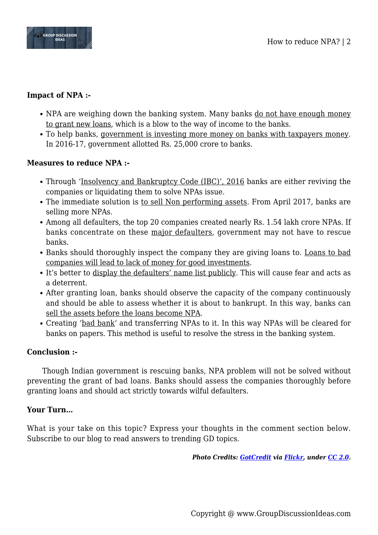

# **Impact of NPA :-**

- NPA are weighing down the banking system. Many banks do not have enough money to grant new loans, which is a blow to the way of income to the banks.
- To help banks, government is investing more money on banks with taxpayers money. In 2016-17, government allotted Rs. 25,000 crore to banks.

## **Measures to reduce NPA :-**

- Through 'Insolvency and Bankruptcy Code (IBC)', 2016 banks are either reviving the companies or liquidating them to solve NPAs issue.
- The immediate solution is to sell Non performing assets. From April 2017, banks are selling more NPAs.
- Among all defaulters, the top 20 companies created nearly Rs. 1.54 lakh crore NPAs. If banks concentrate on these major defaulters, government may not have to rescue banks.
- Banks should thoroughly inspect the company they are giving loans to. Loans to bad companies will lead to lack of money for good investments.
- It's better to display the defaulters' name list publicly. This will cause fear and acts as a deterrent.
- After granting loan, banks should observe the capacity of the company continuously and should be able to assess whether it is about to bankrupt. In this way, banks can sell the assets before the loans become NPA.
- Creating 'bad bank' and transferring NPAs to it. In this way NPAs will be cleared for banks on papers. This method is useful to resolve the stress in the banking system.

### **Conclusion :-**

Though Indian government is rescuing banks, NPA problem will not be solved without preventing the grant of bad loans. Banks should assess the companies thoroughly before granting loans and should act strictly towards wilful defaulters.

### **Your Turn…**

What is your take on this topic? Express your thoughts in the comment section below. Subscribe to our blog to read answers to trending GD topics.

*Photo Credits: [GotCredit](https://www.flickr.com/photos/gotcredit/) via [Flickr,](https://www.flickr.com/photos/gotcredit/33502814040/) under [CC 2.0.](https://creativecommons.org/licenses/by/2.0/)*